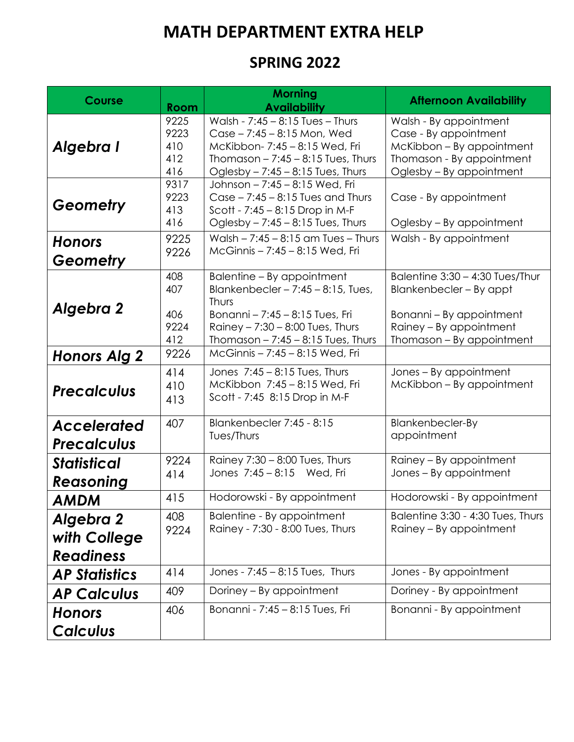## **MATH DEPARTMENT EXTRA HELP**

## **SPRING 2022**

| <b>Course</b>                                 | <b>Room</b>                       | <b>Morning</b><br><b>Availability</b>                                                                                                                                                              | <b>Afternoon Availability</b>                                                                                                                  |
|-----------------------------------------------|-----------------------------------|----------------------------------------------------------------------------------------------------------------------------------------------------------------------------------------------------|------------------------------------------------------------------------------------------------------------------------------------------------|
| Algebra I                                     | 9225<br>9223<br>410<br>412<br>416 | Walsh - $7:45 - 8:15$ Tues - Thurs<br>Case - 7:45 - 8:15 Mon, Wed<br>McKibbon- 7:45 - 8:15 Wed, Fri<br>Thomason $- 7:45 - 8:15$ Tues, Thurs<br>Oglesby $-7:45 - 8:15$ Tues, Thurs                  | Walsh - By appointment<br>Case - By appointment<br>McKibbon - By appointment<br>Thomason - By appointment<br>Oglesby - By appointment          |
| Geometry                                      | 9317<br>9223<br>413<br>416        | Johnson - 7:45 - 8:15 Wed, Fri<br>Case $-7:45 - 8:15$ Tues and Thurs<br>Scott - 7:45 - 8:15 Drop in M-F<br>Oglesby $-7:45 - 8:15$ Tues, Thurs                                                      | Case - By appointment<br>Oglesby – By appointment                                                                                              |
| <b>Honors</b><br>Geometry                     | 9225<br>9226                      | Walsh $- 7:45 - 8:15$ am Tues $-$ Thurs<br>McGinnis - 7:45 - 8:15 Wed, Fri                                                                                                                         | Walsh - By appointment                                                                                                                         |
| <b>Algebra 2</b>                              | 408<br>407<br>406<br>9224<br>412  | Balentine - By appointment<br>Blankenbecler $-7:45 - 8:15$ , Tues,<br><b>Thurs</b><br>Bonanni - 7:45 - 8:15 Tues, Fri<br>Rainey $-7:30 - 8:00$ Tues, Thurs<br>Thomason $- 7:45 - 8:15$ Tues, Thurs | Balentine 3:30 - 4:30 Tues/Thur<br>Blankenbecler - By appt<br>Bonanni – By appointment<br>Rainey - By appointment<br>Thomason – By appointment |
| <b>Honors Alg 2</b>                           | 9226                              | McGinnis - 7:45 - 8:15 Wed, Fri                                                                                                                                                                    |                                                                                                                                                |
| <b>Precalculus</b>                            | 414<br>410<br>413                 | Jones 7:45 - 8:15 Tues, Thurs<br>McKibbon 7:45 - 8:15 Wed, Fri<br>Scott - 7:45 8:15 Drop in M-F                                                                                                    | Jones - By appointment<br>McKibbon – By appointment                                                                                            |
| <b>Accelerated</b><br><b>Precalculus</b>      | 407                               | Blankenbecler 7:45 - 8:15<br>Tues/Thurs                                                                                                                                                            | <b>Blankenbecler-By</b><br>appointment                                                                                                         |
| <b>Statistical</b><br>Reasoning               | 9224<br>414                       | Rainey 7:30 - 8:00 Tues, Thurs<br>Jones 7:45 - 8:15 Wed, Fri                                                                                                                                       | Rainey - By appointment<br>Jones – By appointment                                                                                              |
| AMDM                                          | 415                               | Hodorowski - By appointment                                                                                                                                                                        | Hodorowski - By appointment                                                                                                                    |
| Algebra 2<br>with College<br><b>Readiness</b> | 408<br>9224                       | Balentine - By appointment<br>Rainey - 7:30 - 8:00 Tues, Thurs                                                                                                                                     | Balentine 3:30 - 4:30 Tues, Thurs<br>Rainey – By appointment                                                                                   |
| <b>AP Statistics</b>                          | 414                               | Jones - 7:45 - 8:15 Tues, Thurs                                                                                                                                                                    | Jones - By appointment                                                                                                                         |
| <b>AP Calculus</b>                            | 409                               | Doriney - By appointment                                                                                                                                                                           | Doriney - By appointment                                                                                                                       |
| <b>Honors</b>                                 | 406                               | Bonanni - 7:45 - 8:15 Tues, Fri                                                                                                                                                                    | Bonanni - By appointment                                                                                                                       |
| <b>Calculus</b>                               |                                   |                                                                                                                                                                                                    |                                                                                                                                                |